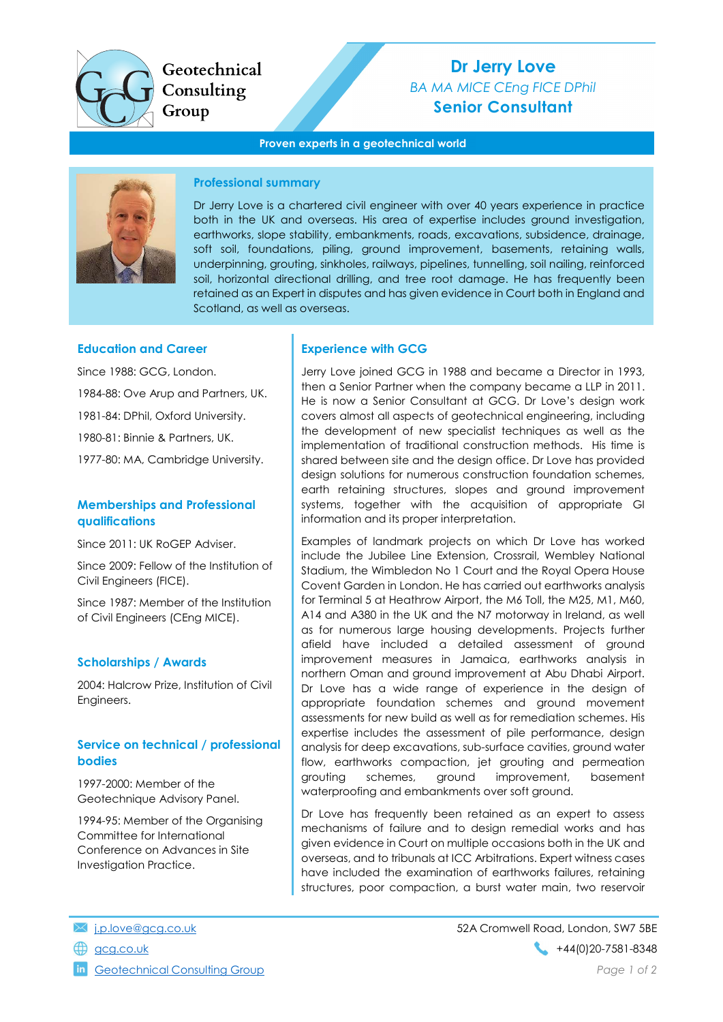

Geotechnical Consulting Group

# Dr Jerry Love BA MA MICE CEng FICE DPhil Senior Consultant

#### Proven experts in a geotechnical world



#### Professional summary

Dr Jerry Love is a chartered civil engineer with over 40 years experience in practice both in the UK and overseas. His area of expertise includes ground investigation, earthworks, slope stability, embankments, roads, excavations, subsidence, drainage, soft soil, foundations, piling, ground improvement, basements, retaining walls, underpinning, grouting, sinkholes, railways, pipelines, tunnelling, soil nailing, reinforced soil, horizontal directional drilling, and tree root damage. He has frequently been retained as an Expert in disputes and has given evidence in Court both in England and Scotland, as well as overseas.

#### Education and Career

Since 1988: GCG, London. 1984-88: Ove Arup and Partners, UK. 1981-84: DPhil, Oxford University. 1980-81: Binnie & Partners, UK. 1977-80: MA, Cambridge University.

## Memberships and Professional qualifications

Since 2011: UK RoGEP Adviser.

Since 2009: Fellow of the Institution of Civil Engineers (FICE).

Since 1987: Member of the Institution of Civil Engineers (CEng MICE).

## Scholarships / Awards

2004: Halcrow Prize, Institution of Civil Engineers.

#### Service on technical / professional bodies

1997-2000: Member of the Geotechnique Advisory Panel.

1994-95: Member of the Organising Committee for International Conference on Advances in Site Investigation Practice.

## Experience with GCG

Jerry Love joined GCG in 1988 and became a Director in 1993, then a Senior Partner when the company became a LLP in 2011. He is now a Senior Consultant at GCG. Dr Love's design work covers almost all aspects of geotechnical engineering, including the development of new specialist techniques as well as the implementation of traditional construction methods. His time is shared between site and the design office. Dr Love has provided design solutions for numerous construction foundation schemes, earth retaining structures, slopes and ground improvement systems, together with the acquisition of appropriate GI information and its proper interpretation.

Examples of landmark projects on which Dr Love has worked include the Jubilee Line Extension, Crossrail, Wembley National Stadium, the Wimbledon No 1 Court and the Royal Opera House Covent Garden in London. He has carried out earthworks analysis for Terminal 5 at Heathrow Airport, the M6 Toll, the M25, M1, M60, A14 and A380 in the UK and the N7 motorway in Ireland, as well as for numerous large housing developments. Projects further afield have included a detailed assessment of ground improvement measures in Jamaica, earthworks analysis in northern Oman and ground improvement at Abu Dhabi Airport. Dr Love has a wide range of experience in the design of appropriate foundation schemes and ground movement assessments for new build as well as for remediation schemes. His expertise includes the assessment of pile performance, design analysis for deep excavations, sub-surface cavities, ground water flow, earthworks compaction, jet grouting and permeation grouting schemes, ground improvement, basement waterproofing and embankments over soft ground.

Dr Love has frequently been retained as an expert to assess mechanisms of failure and to design remedial works and has given evidence in Court on multiple occasions both in the UK and overseas, and to tribunals at ICC Arbitrations. Expert witness cases have included the examination of earthworks failures, retaining structures, poor compaction, a burst water main, two reservoir

- 
- 

**in** Geotechnical Consulting Group **Page 1 of 2** and 2 and 2 and 2 and 2 and 2 and 2 and 2 and 2 and 2 and 2 and 2 and 2 and 2 and 2 and 2 and 2 and 2 and 2 and 2 and 2 and 2 and 2 and 2 and 2 and 2 and 2 and 2 and 2 and 2

j.p.love@gcg.co.uk 52A Cromwell Road, London, SW7 5BE gcg.co.uk +44(0)20-7581-8348